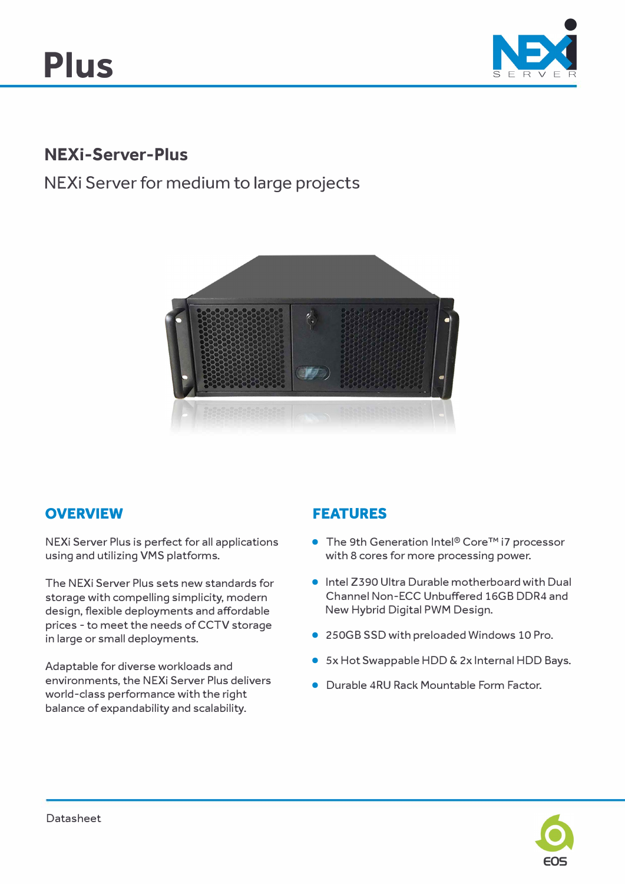

## **NEXi-Server-Plus**

# **NEXi Server for medium to large projects**



### **OVERVIEW**

NEXi Server Plus is perfect for all applications using and utilizing VMS platforms.

The NEXi Server Plus sets new standards for storage with compelling simplicity, modern design, flexible deployments and affordable prices - to meet the needs of CCTV storage in large or small deployments.

Adaptable for diverse workloads and environments, the NEXi Server Plus delivers world-class performance with the right balance of expandability and scalability.

## **FEATURES**

- The 9th Generation Intel® Core™ i7 processor with 8 cores for more processing power.
- Intel Z390 Ultra Durable motherboard with Dual Channel Non-ECC Unbuffered 16GB DDR4 and New Hybrid Digital PWM Design.
- 250GB SSD with preloaded Windows 10 Pro.
- Sx Hot Swappable HDD & 2x Internal HDD Bays.
- Durable 4RU Rack Mountable Form Factor.